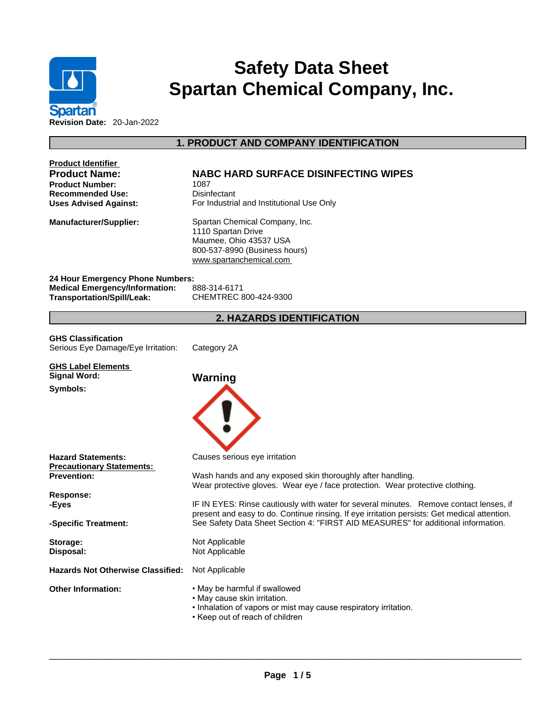

# **Safety Data Sheet Spartan Chemical Company, Inc.**

# **1. PRODUCT AND COMPANY IDENTIFICATION**

| <b>Product Identifier</b><br><b>Product Name:</b><br><b>Product Number:</b><br><b>Recommended Use:</b><br><b>Uses Advised Against:</b> | <b>NABC HARD SURFACE DISINFECTING WIPES</b><br>1087<br>Disinfectant<br>For Industrial and Institutional Use Only                                                                       |
|----------------------------------------------------------------------------------------------------------------------------------------|----------------------------------------------------------------------------------------------------------------------------------------------------------------------------------------|
| <b>Manufacturer/Supplier:</b>                                                                                                          | Spartan Chemical Company, Inc.<br>1110 Spartan Drive<br>Maumee, Ohio 43537 USA<br>800-537-8990 (Business hours)<br>www.spartanchemical.com                                             |
| 24 Hour Emergency Phone Numbers:<br><b>Medical Emergency/Information:</b><br><b>Transportation/Spill/Leak:</b>                         | 888-314-6171<br>CHEMTREC 800-424-9300                                                                                                                                                  |
|                                                                                                                                        | 2. HAZARDS IDENTIFICATION                                                                                                                                                              |
| <b>GHS Classification</b><br>Serious Eye Damage/Eye Irritation:                                                                        | Category 2A                                                                                                                                                                            |
| <b>GHS Label Elements</b><br><b>Signal Word:</b>                                                                                       | Warning                                                                                                                                                                                |
| Symbols:                                                                                                                               |                                                                                                                                                                                        |
| <b>Hazard Statements:</b><br><b>Precautionary Statements:</b>                                                                          | Causes serious eye irritation                                                                                                                                                          |
| <b>Prevention:</b>                                                                                                                     | Wash hands and any exposed skin thoroughly after handling.<br>Wear protective gloves. Wear eye / face protection. Wear protective clothing.                                            |
| <b>Response:</b><br>-Eyes                                                                                                              | IF IN EYES: Rinse cautiously with water for several minutes. Remove contact lenses, if<br>present and easy to do. Continue rinsing. If eye irritation persists: Get medical attention. |
| -Specific Treatment:                                                                                                                   | See Safety Data Sheet Section 4: "FIRST AID MEASURES" for additional information.                                                                                                      |
| Storage:<br>Disposal:                                                                                                                  | Not Applicable<br>Not Applicable                                                                                                                                                       |
| <b>Hazards Not Otherwise Classified:</b>                                                                                               | Not Applicable                                                                                                                                                                         |
| <b>Other Information:</b>                                                                                                              | • May be harmful if swallowed<br>• May cause skin irritation.<br>. Inhalation of vapors or mist may cause respiratory irritation.<br>• Keep out of reach of children                   |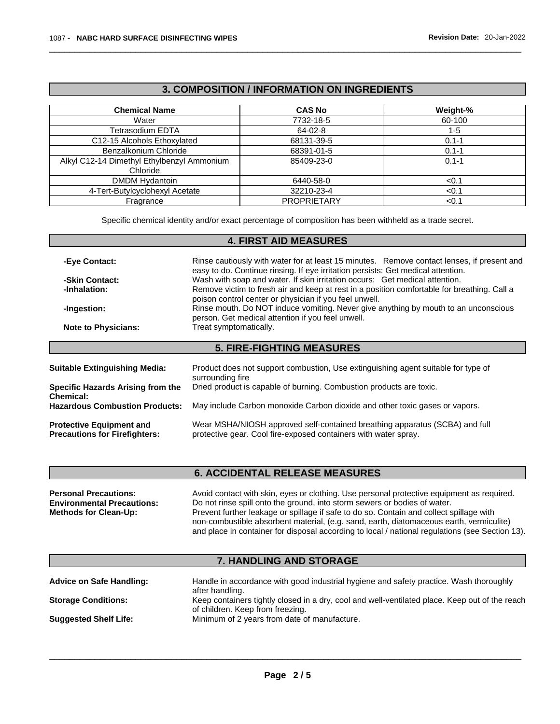# **3. COMPOSITION / INFORMATION ON INGREDIENTS**

| <b>Chemical Name</b>                       | <b>CAS No</b>      | Weight-%  |
|--------------------------------------------|--------------------|-----------|
| Water                                      | 7732-18-5          | 60-100    |
| Tetrasodium EDTA                           | 64-02-8            | 1-5       |
| C12-15 Alcohols Ethoxylated                | 68131-39-5         | $0.1 - 1$ |
| Benzalkonium Chloride                      | 68391-01-5         | $0.1 - 1$ |
| Alkyl C12-14 Dimethyl Ethylbenzyl Ammonium | 85409-23-0         | $0.1 - 1$ |
| Chloride                                   |                    |           |
| <b>DMDM Hydantoin</b>                      | 6440-58-0          | < 0.1     |
| 4-Tert-Butylcyclohexyl Acetate             | 32210-23-4         | < 0.1     |
| Fragrance                                  | <b>PROPRIETARY</b> | < 0.1     |

Specific chemical identity and/or exact percentage of composition has been withheld as a trade secret.

# **4. FIRST AID MEASURES**

| -Eye Contact:                                                           | Rinse cautiously with water for at least 15 minutes. Remove contact lenses, if present and<br>easy to do. Continue rinsing. If eye irritation persists: Get medical attention. |
|-------------------------------------------------------------------------|--------------------------------------------------------------------------------------------------------------------------------------------------------------------------------|
| -Skin Contact:                                                          | Wash with soap and water. If skin irritation occurs: Get medical attention.                                                                                                    |
| -Inhalation:                                                            | Remove victim to fresh air and keep at rest in a position comfortable for breathing. Call a<br>poison control center or physician if you feel unwell.                          |
| -Ingestion:                                                             | Rinse mouth. Do NOT induce vomiting. Never give anything by mouth to an unconscious<br>person. Get medical attention if you feel unwell.                                       |
| <b>Note to Physicians:</b>                                              | Treat symptomatically.                                                                                                                                                         |
|                                                                         | <b>5. FIRE-FIGHTING MEASURES</b>                                                                                                                                               |
|                                                                         |                                                                                                                                                                                |
| Suitable Extinguishing Media:                                           | Product does not support combustion, Use extinguishing agent suitable for type of<br>surrounding fire                                                                          |
| <b>Specific Hazards Arising from the</b><br>Chemical:                   | Dried product is capable of burning. Combustion products are toxic.                                                                                                            |
| <b>Hazardous Combustion Products:</b>                                   | May include Carbon monoxide Carbon dioxide and other toxic gases or vapors.                                                                                                    |
| <b>Protective Equipment and</b><br><b>Precautions for Firefighters:</b> | Wear MSHA/NIOSH approved self-contained breathing apparatus (SCBA) and full<br>protective gear. Cool fire-exposed containers with water spray.                                 |
|                                                                         |                                                                                                                                                                                |

# **6. ACCIDENTAL RELEASE MEASURES**

| <b>Personal Precautions:</b>      | Avoid contact with skin, eyes or clothing. Use personal protective equipment as required.       |
|-----------------------------------|-------------------------------------------------------------------------------------------------|
| <b>Environmental Precautions:</b> | Do not rinse spill onto the ground, into storm sewers or bodies of water.                       |
| <b>Methods for Clean-Up:</b>      | Prevent further leakage or spillage if safe to do so. Contain and collect spillage with         |
|                                   | non-combustible absorbent material, (e.g. sand, earth, diatomaceous earth, vermiculite)         |
|                                   | and place in container for disposal according to local / national regulations (see Section 13). |

# **7. HANDLING AND STORAGE**

| <b>Advice on Safe Handling:</b> | Handle in accordance with good industrial hygiene and safety practice. Wash thoroughly         |
|---------------------------------|------------------------------------------------------------------------------------------------|
|                                 | after handling.                                                                                |
| <b>Storage Conditions:</b>      | Keep containers tightly closed in a dry, cool and well-ventilated place. Keep out of the reach |
|                                 | of children. Keep from freezing.                                                               |
| <b>Suggested Shelf Life:</b>    | Minimum of 2 years from date of manufacture.                                                   |
|                                 |                                                                                                |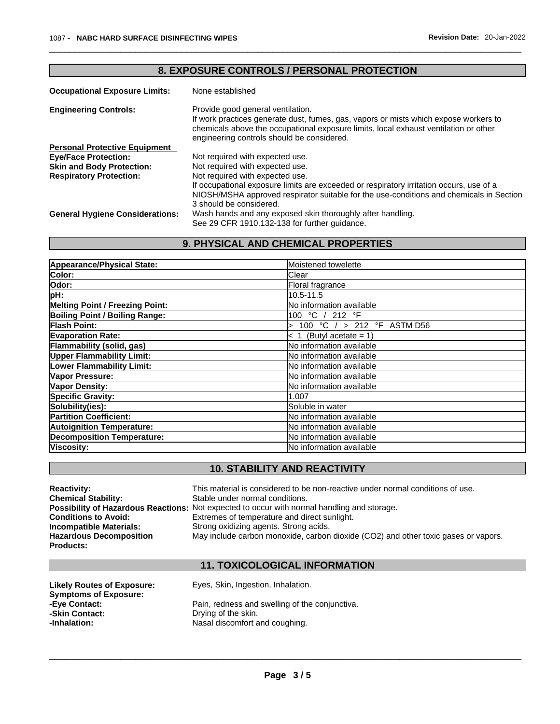| 8. EXPOSURE CONTROLS / PERSONAL PROTECTION |                                                                                                                                                                                                                                                                 |  |  |
|--------------------------------------------|-----------------------------------------------------------------------------------------------------------------------------------------------------------------------------------------------------------------------------------------------------------------|--|--|
| <b>Occupational Exposure Limits:</b>       | None established                                                                                                                                                                                                                                                |  |  |
| <b>Engineering Controls:</b>               | Provide good general ventilation.<br>If work practices generate dust, fumes, gas, vapors or mists which expose workers to<br>chemicals above the occupational exposure limits, local exhaust ventilation or other<br>engineering controls should be considered. |  |  |
| <b>Personal Protective Equipment</b>       |                                                                                                                                                                                                                                                                 |  |  |
| <b>Eye/Face Protection:</b>                | Not required with expected use.                                                                                                                                                                                                                                 |  |  |
| <b>Skin and Body Protection:</b>           | Not required with expected use.                                                                                                                                                                                                                                 |  |  |
| <b>Respiratory Protection:</b>             | Not required with expected use.                                                                                                                                                                                                                                 |  |  |
|                                            | If occupational exposure limits are exceeded or respiratory irritation occurs, use of a<br>NIOSH/MSHA approved respirator suitable for the use-conditions and chemicals in Section<br>3 should be considered.                                                   |  |  |
| <b>General Hygiene Considerations:</b>     | Wash hands and any exposed skin thoroughly after handling.                                                                                                                                                                                                      |  |  |
|                                            | See 29 CFR 1910.132-138 for further guidance.                                                                                                                                                                                                                   |  |  |

# **9. PHYSICAL AND CHEMICAL PROPERTIES**

| Appearance/Physical State:             | Moistened towelette             |  |  |
|----------------------------------------|---------------------------------|--|--|
| Color:                                 | <b>Clear</b>                    |  |  |
| Odor:                                  | Floral fragrance                |  |  |
| pH:                                    | 10.5-11.5                       |  |  |
| <b>Melting Point / Freezing Point:</b> | No information available        |  |  |
| <b>Boiling Point / Boiling Range:</b>  | 100 °C / 212 °F                 |  |  |
| Flash Point:                           | 100 °C $/$ > 212 °F ASTM D56    |  |  |
| <b>Evaporation Rate:</b>               | $< 1$ (Butyl acetate = 1)       |  |  |
| Flammability (solid, gas)              | No information available        |  |  |
| <b>Upper Flammability Limit:</b>       | No information available        |  |  |
| Lower Flammability Limit:              | No information available        |  |  |
| Vapor Pressure:                        | <b>No information available</b> |  |  |
| Vapor Density:                         | No information available        |  |  |
| <b>Specific Gravity:</b>               | 1.007                           |  |  |
| Solubility(ies):                       | Soluble in water                |  |  |
| <b>Partition Coefficient:</b>          | No information available        |  |  |
| <b>Autoignition Temperature:</b>       | <b>No information available</b> |  |  |
| <b>Decomposition Temperature:</b>      | No information available        |  |  |
| Viscosity:                             | No information available        |  |  |

# **10. STABILITY AND REACTIVITY**

| <b>Reactivity:</b>             | This material is considered to be non-reactive under normal conditions of use.              |
|--------------------------------|---------------------------------------------------------------------------------------------|
| <b>Chemical Stability:</b>     | Stable under normal conditions.                                                             |
|                                | Possibility of Hazardous Reactions: Not expected to occur with normal handling and storage. |
| <b>Conditions to Avoid:</b>    | Extremes of temperature and direct sunlight.                                                |
| <b>Incompatible Materials:</b> | Strong oxidizing agents. Strong acids.                                                      |
| <b>Hazardous Decomposition</b> | May include carbon monoxide, carbon dioxide (CO2) and other toxic gases or vapors.          |
| <b>Products:</b>               |                                                                                             |

# **11. TOXICOLOGICAL INFORMATION**

| Likely Routes of Exposure:   | Eyes, Skin, Ingestion, Inhalation.             |
|------------------------------|------------------------------------------------|
| <b>Symptoms of Exposure:</b> |                                                |
| -Eve Contact:                | Pain, redness and swelling of the conjunctiva. |
| -Skin Contact:               | Drying of the skin.                            |
| -Inhalation:                 | Nasal discomfort and coughing.                 |
|                              |                                                |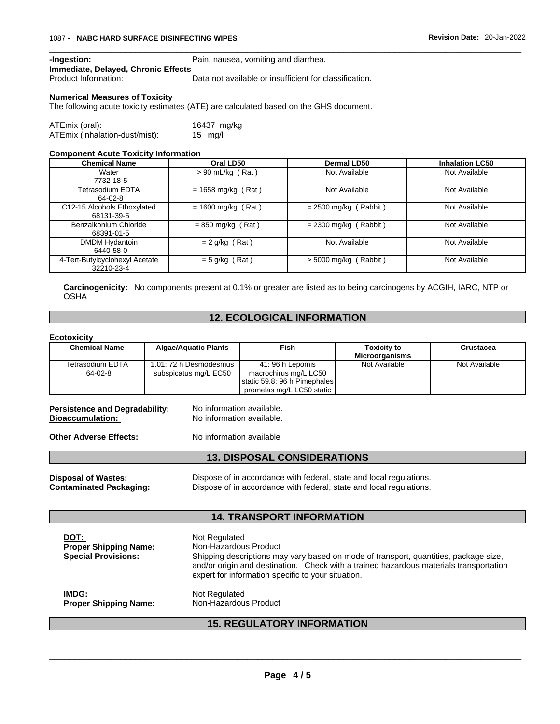**-Ingestion:** Pain, nausea, vomiting and diarrhea.

**Immediate, Delayed, Chronic Effects**

Data not available or insufficient for classification.

### **Numerical Measures of Toxicity**

The following acute toxicity estimates (ATE) are calculated based on the GHS document.

| ATEmix (oral):                 | 16437 mg/kg       |  |
|--------------------------------|-------------------|--|
| ATEmix (inhalation-dust/mist): | $15 \text{ mg/l}$ |  |

#### **Component Acute Toxicity Information**

| <b>Chemical Name</b>                         | Oral LD50            | <b>Dermal LD50</b>      | <b>Inhalation LC50</b> |
|----------------------------------------------|----------------------|-------------------------|------------------------|
| Water<br>7732-18-5                           | $> 90$ mL/kg (Rat)   | Not Available           | Not Available          |
| Tetrasodium EDTA<br>64-02-8                  | $= 1658$ mg/kg (Rat) | Not Available           | Not Available          |
| C12-15 Alcohols Ethoxylated<br>68131-39-5    | $= 1600$ mg/kg (Rat) | $= 2500$ mg/kg (Rabbit) | Not Available          |
| Benzalkonium Chloride<br>68391-01-5          | $= 850$ mg/kg (Rat)  | $= 2300$ mg/kg (Rabbit) | Not Available          |
| DMDM Hydantoin<br>6440-58-0                  | $= 2$ g/kg (Rat)     | Not Available           | Not Available          |
| 4-Tert-Butylcyclohexyl Acetate<br>32210-23-4 | $= 5$ g/kg (Rat)     | $> 5000$ mg/kg (Rabbit) | Not Available          |

**Carcinogenicity:** No components present at 0.1% or greater arelisted as to being carcinogens by ACGIH, IARC, NTP or OSHA

## **12. ECOLOGICAL INFORMATION**

### **Ecotoxicity**

| ---------            |                             |                              |                       |               |
|----------------------|-----------------------------|------------------------------|-----------------------|---------------|
| <b>Chemical Name</b> | <b>Algae/Aquatic Plants</b> | Fish                         | <b>Toxicity to</b>    | Crustacea     |
|                      |                             |                              | <b>Microorganisms</b> |               |
| Tetrasodium EDTA     | 1.01: 72 h Desmodesmus      | 41:96 h Lepomis              | Not Available         | Not Available |
| 64-02-8              | subspicatus mg/L EC50       | macrochirus mg/L LC50        |                       |               |
|                      |                             | static 59.8: 96 h Pimephales |                       |               |
|                      |                             | promelas mg/L LC50 static    |                       |               |

# **Persistence and Degradability:** No information available.<br>**Bioaccumulation:** No information available.

No information available.

**Other Adverse Effects:** No information available

## **13. DISPOSAL CONSIDERATIONS**

**Disposal of Wastes:** Dispose of in accordance with federal, state and local regulations. **Contaminated Packaging:** Dispose of in accordance with federal, state and local regulations.

## **14. TRANSPORT INFORMATION**

| DOT:<br><b>Proper Shipping Name:</b><br><b>Special Provisions:</b> | Not Regulated<br>Non-Hazardous Product<br>Shipping descriptions may vary based on mode of transport, quantities, package size,<br>and/or origin and destination. Check with a trained hazardous materials transportation<br>expert for information specific to your situation. |
|--------------------------------------------------------------------|--------------------------------------------------------------------------------------------------------------------------------------------------------------------------------------------------------------------------------------------------------------------------------|
| IMDG:                                                              | Not Regulated                                                                                                                                                                                                                                                                  |
| <b>Proper Shipping Name:</b>                                       | Non-Hazardous Product                                                                                                                                                                                                                                                          |

# **15. REGULATORY INFORMATION**